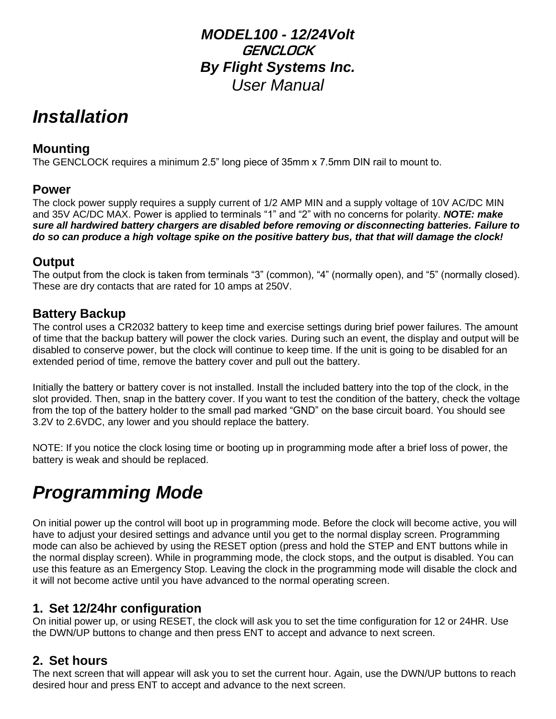## *MODEL100 - 12/24Volt* **GENCLOCK** *By Flight Systems Inc. User Manual*

## *Installation*

## **Mounting**

The GENCLOCK requires a minimum 2.5" long piece of 35mm x 7.5mm DIN rail to mount to.

#### **Power**

The clock power supply requires a supply current of 1/2 AMP MIN and a supply voltage of 10V AC/DC MIN and 35V AC/DC MAX. Power is applied to terminals "1" and "2" with no concerns for polarity. *NOTE: make sure all hardwired battery chargers are disabled before removing or disconnecting batteries. Failure to do so can produce a high voltage spike on the positive battery bus, that that will damage the clock!*

## **Output**

The output from the clock is taken from terminals "3" (common), "4" (normally open), and "5" (normally closed). These are dry contacts that are rated for 10 amps at 250V.

## **Battery Backup**

The control uses a CR2032 battery to keep time and exercise settings during brief power failures. The amount of time that the backup battery will power the clock varies. During such an event, the display and output will be disabled to conserve power, but the clock will continue to keep time. If the unit is going to be disabled for an extended period of time, remove the battery cover and pull out the battery.

Initially the battery or battery cover is not installed. Install the included battery into the top of the clock, in the slot provided. Then, snap in the battery cover. If you want to test the condition of the battery, check the voltage from the top of the battery holder to the small pad marked "GND" on the base circuit board. You should see 3.2V to 2.6VDC, any lower and you should replace the battery.

NOTE: If you notice the clock losing time or booting up in programming mode after a brief loss of power, the battery is weak and should be replaced.

# *Programming Mode*

On initial power up the control will boot up in programming mode. Before the clock will become active, you will have to adjust your desired settings and advance until you get to the normal display screen. Programming mode can also be achieved by using the RESET option (press and hold the STEP and ENT buttons while in the normal display screen). While in programming mode, the clock stops, and the output is disabled. You can use this feature as an Emergency Stop. Leaving the clock in the programming mode will disable the clock and it will not become active until you have advanced to the normal operating screen.

## **1. Set 12/24hr configuration**

On initial power up, or using RESET, the clock will ask you to set the time configuration for 12 or 24HR. Use the DWN/UP buttons to change and then press ENT to accept and advance to next screen.

## **2. Set hours**

The next screen that will appear will ask you to set the current hour. Again, use the DWN/UP buttons to reach desired hour and press ENT to accept and advance to the next screen.